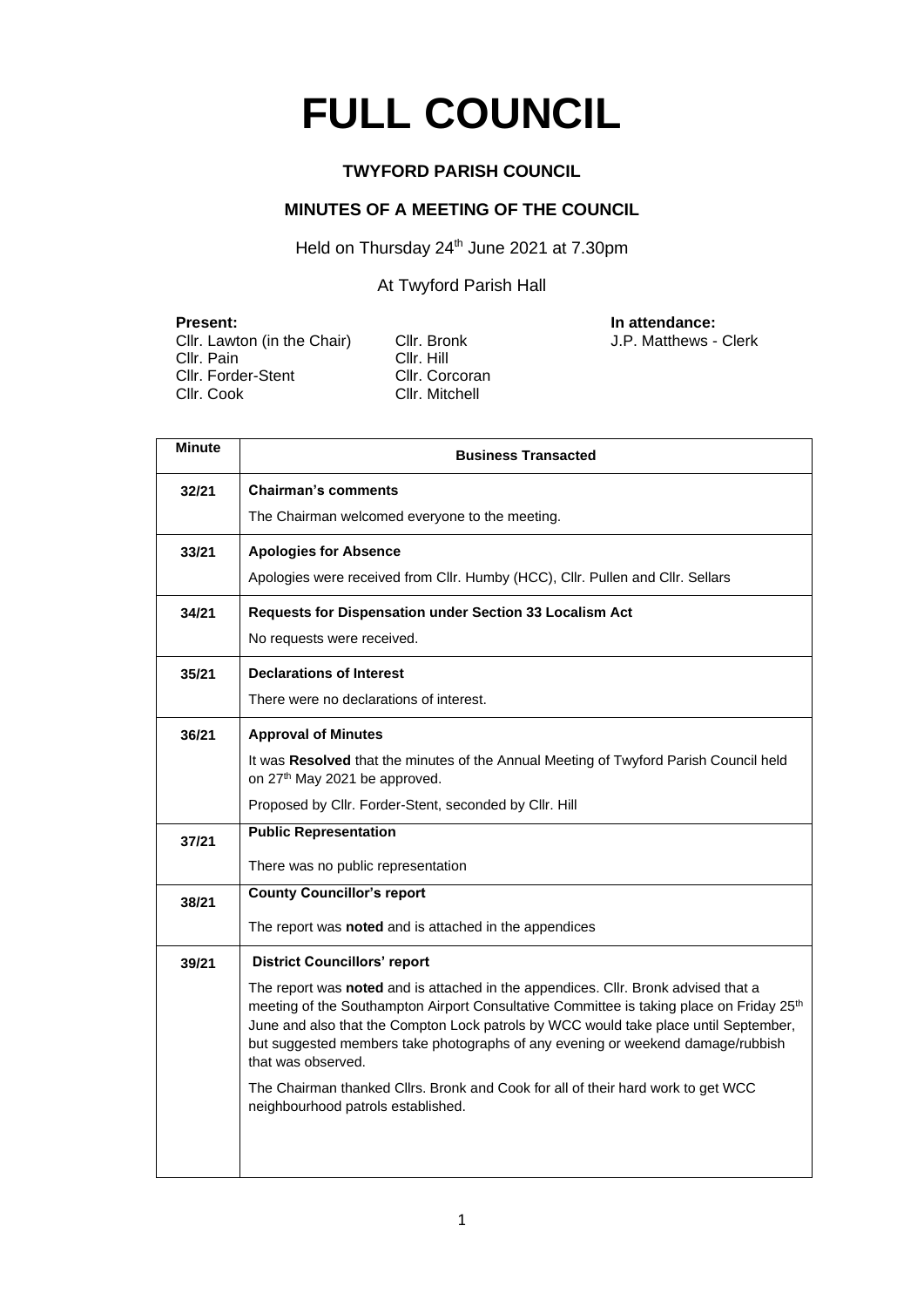# **FULL COUNCIL**

#### **TWYFORD PARISH COUNCIL**

#### **MINUTES OF A MEETING OF THE COUNCIL**

Held on Thursday 24<sup>th</sup> June 2021 at 7.30pm

At Twyford Parish Hall

**Present: Present: In attendance: In attendance: CIIT**. Lawton (in the Chair) **CIIT**. Bronk **CIIT**. Lawton (in the Chair) **CIIT**. Bronk Cllr. Lawton (in the Chair) Cllr. Bro<br>Cllr. Pain Cllr. Hill Cllr. Pain Cllr. Hill<br>Cllr. Forder-Stent Cllr. Corcoran Cllr. Forder-Stent<br>Cllr. Cook

Cllr. Mitchell

| <b>Minute</b> | <b>Business Transacted</b>                                                                                                                                                                                                                                                                                                                                                                  |  |  |  |  |
|---------------|---------------------------------------------------------------------------------------------------------------------------------------------------------------------------------------------------------------------------------------------------------------------------------------------------------------------------------------------------------------------------------------------|--|--|--|--|
| 32/21         | <b>Chairman's comments</b>                                                                                                                                                                                                                                                                                                                                                                  |  |  |  |  |
|               | The Chairman welcomed everyone to the meeting.                                                                                                                                                                                                                                                                                                                                              |  |  |  |  |
| 33/21         | <b>Apologies for Absence</b>                                                                                                                                                                                                                                                                                                                                                                |  |  |  |  |
|               | Apologies were received from Cllr. Humby (HCC), Cllr. Pullen and Cllr. Sellars                                                                                                                                                                                                                                                                                                              |  |  |  |  |
| 34/21         | Requests for Dispensation under Section 33 Localism Act                                                                                                                                                                                                                                                                                                                                     |  |  |  |  |
|               | No requests were received.                                                                                                                                                                                                                                                                                                                                                                  |  |  |  |  |
| 35/21         | <b>Declarations of Interest</b>                                                                                                                                                                                                                                                                                                                                                             |  |  |  |  |
|               | There were no declarations of interest.                                                                                                                                                                                                                                                                                                                                                     |  |  |  |  |
| 36/21         | <b>Approval of Minutes</b>                                                                                                                                                                                                                                                                                                                                                                  |  |  |  |  |
|               | It was Resolved that the minutes of the Annual Meeting of Twyford Parish Council held<br>on 27 <sup>th</sup> May 2021 be approved.                                                                                                                                                                                                                                                          |  |  |  |  |
|               | Proposed by Cllr. Forder-Stent, seconded by Cllr. Hill                                                                                                                                                                                                                                                                                                                                      |  |  |  |  |
| 37/21         | <b>Public Representation</b>                                                                                                                                                                                                                                                                                                                                                                |  |  |  |  |
|               | There was no public representation                                                                                                                                                                                                                                                                                                                                                          |  |  |  |  |
| 38/21         | <b>County Councillor's report</b>                                                                                                                                                                                                                                                                                                                                                           |  |  |  |  |
|               | The report was noted and is attached in the appendices                                                                                                                                                                                                                                                                                                                                      |  |  |  |  |
| 39/21         | <b>District Councillors' report</b>                                                                                                                                                                                                                                                                                                                                                         |  |  |  |  |
|               | The report was noted and is attached in the appendices. Cllr. Bronk advised that a<br>meeting of the Southampton Airport Consultative Committee is taking place on Friday 25 <sup>th</sup><br>June and also that the Compton Lock patrols by WCC would take place until September,<br>but suggested members take photographs of any evening or weekend damage/rubbish<br>that was observed. |  |  |  |  |
|               | The Chairman thanked Cllrs. Bronk and Cook for all of their hard work to get WCC<br>neighbourhood patrols established.                                                                                                                                                                                                                                                                      |  |  |  |  |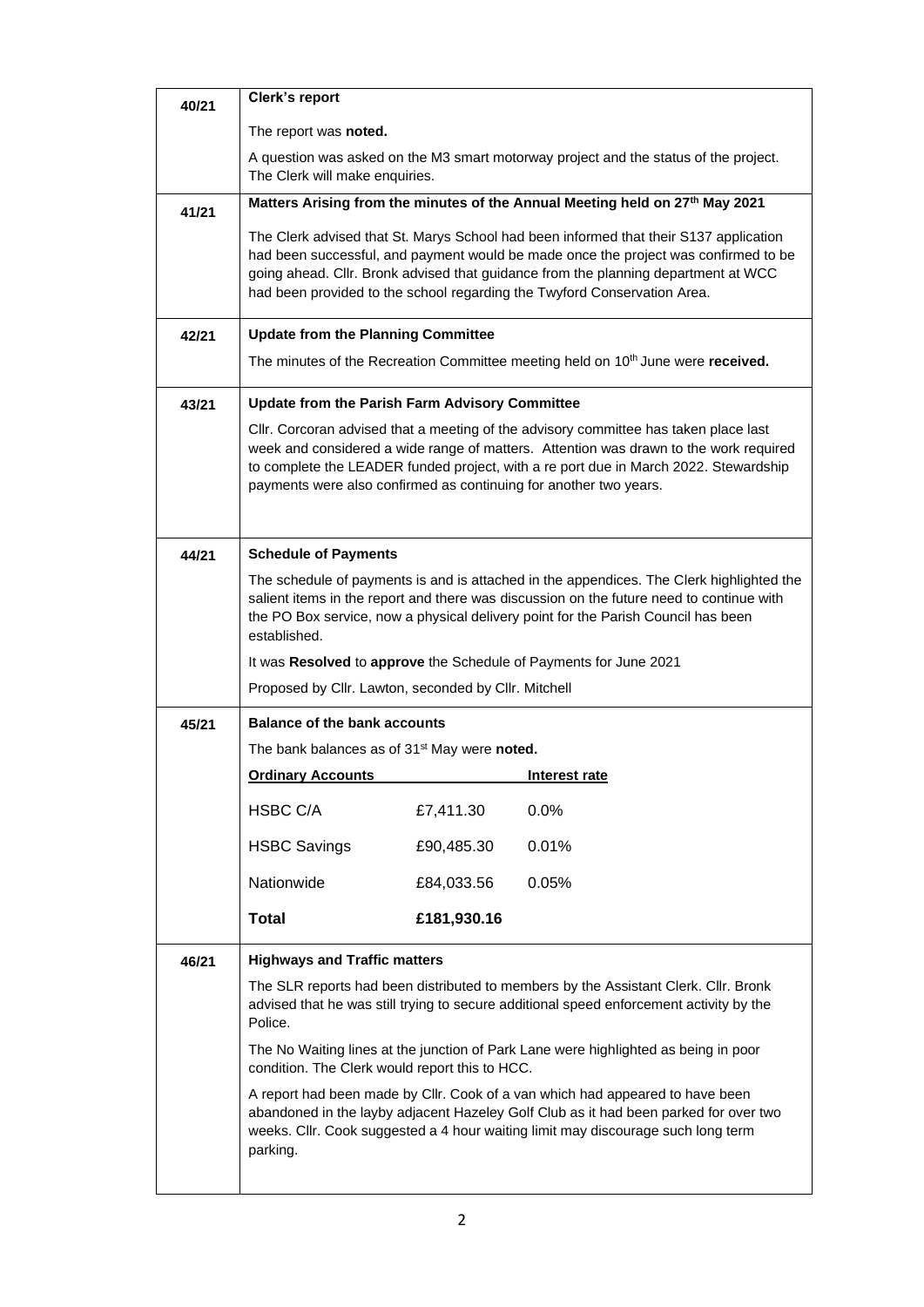| 40/21 | Clerk's report                                                                                                                                                                                                                                                                                                                                 |             |               |  |  |  |
|-------|------------------------------------------------------------------------------------------------------------------------------------------------------------------------------------------------------------------------------------------------------------------------------------------------------------------------------------------------|-------------|---------------|--|--|--|
|       | The report was noted.                                                                                                                                                                                                                                                                                                                          |             |               |  |  |  |
|       | A question was asked on the M3 smart motorway project and the status of the project.<br>The Clerk will make enquiries.                                                                                                                                                                                                                         |             |               |  |  |  |
| 41/21 | Matters Arising from the minutes of the Annual Meeting held on 27 <sup>th</sup> May 2021                                                                                                                                                                                                                                                       |             |               |  |  |  |
|       | The Clerk advised that St. Marys School had been informed that their S137 application<br>had been successful, and payment would be made once the project was confirmed to be<br>going ahead. Cllr. Bronk advised that guidance from the planning department at WCC<br>had been provided to the school regarding the Twyford Conservation Area. |             |               |  |  |  |
| 42/21 | <b>Update from the Planning Committee</b>                                                                                                                                                                                                                                                                                                      |             |               |  |  |  |
|       | The minutes of the Recreation Committee meeting held on 10 <sup>th</sup> June were received.                                                                                                                                                                                                                                                   |             |               |  |  |  |
| 43/21 | <b>Update from the Parish Farm Advisory Committee</b>                                                                                                                                                                                                                                                                                          |             |               |  |  |  |
|       | CIIr. Corcoran advised that a meeting of the advisory committee has taken place last<br>week and considered a wide range of matters. Attention was drawn to the work required<br>to complete the LEADER funded project, with a re port due in March 2022. Stewardship<br>payments were also confirmed as continuing for another two years.     |             |               |  |  |  |
| 44/21 | <b>Schedule of Payments</b>                                                                                                                                                                                                                                                                                                                    |             |               |  |  |  |
|       | The schedule of payments is and is attached in the appendices. The Clerk highlighted the<br>salient items in the report and there was discussion on the future need to continue with<br>the PO Box service, now a physical delivery point for the Parish Council has been<br>established.                                                      |             |               |  |  |  |
|       | It was Resolved to approve the Schedule of Payments for June 2021                                                                                                                                                                                                                                                                              |             |               |  |  |  |
|       | Proposed by Cllr. Lawton, seconded by Cllr. Mitchell                                                                                                                                                                                                                                                                                           |             |               |  |  |  |
| 45/21 | <b>Balance of the bank accounts</b>                                                                                                                                                                                                                                                                                                            |             |               |  |  |  |
|       | The bank balances as of 31 <sup>st</sup> May were noted.                                                                                                                                                                                                                                                                                       |             |               |  |  |  |
|       | <b>Ordinary Accounts</b>                                                                                                                                                                                                                                                                                                                       |             | Interest rate |  |  |  |
|       | HSBC C/A                                                                                                                                                                                                                                                                                                                                       | £7,411.30   | 0.0%          |  |  |  |
|       | <b>HSBC Savings</b>                                                                                                                                                                                                                                                                                                                            | £90,485.30  | 0.01%         |  |  |  |
|       | Nationwide                                                                                                                                                                                                                                                                                                                                     | £84,033.56  | 0.05%         |  |  |  |
|       | <b>Total</b>                                                                                                                                                                                                                                                                                                                                   | £181,930.16 |               |  |  |  |
| 46/21 | <b>Highways and Traffic matters</b>                                                                                                                                                                                                                                                                                                            |             |               |  |  |  |
|       | The SLR reports had been distributed to members by the Assistant Clerk. Cllr. Bronk<br>advised that he was still trying to secure additional speed enforcement activity by the<br>Police.                                                                                                                                                      |             |               |  |  |  |
|       | The No Waiting lines at the junction of Park Lane were highlighted as being in poor<br>condition. The Clerk would report this to HCC.                                                                                                                                                                                                          |             |               |  |  |  |
|       | A report had been made by Cllr. Cook of a van which had appeared to have been<br>abandoned in the layby adjacent Hazeley Golf Club as it had been parked for over two<br>weeks. Cllr. Cook suggested a 4 hour waiting limit may discourage such long term<br>parking.                                                                          |             |               |  |  |  |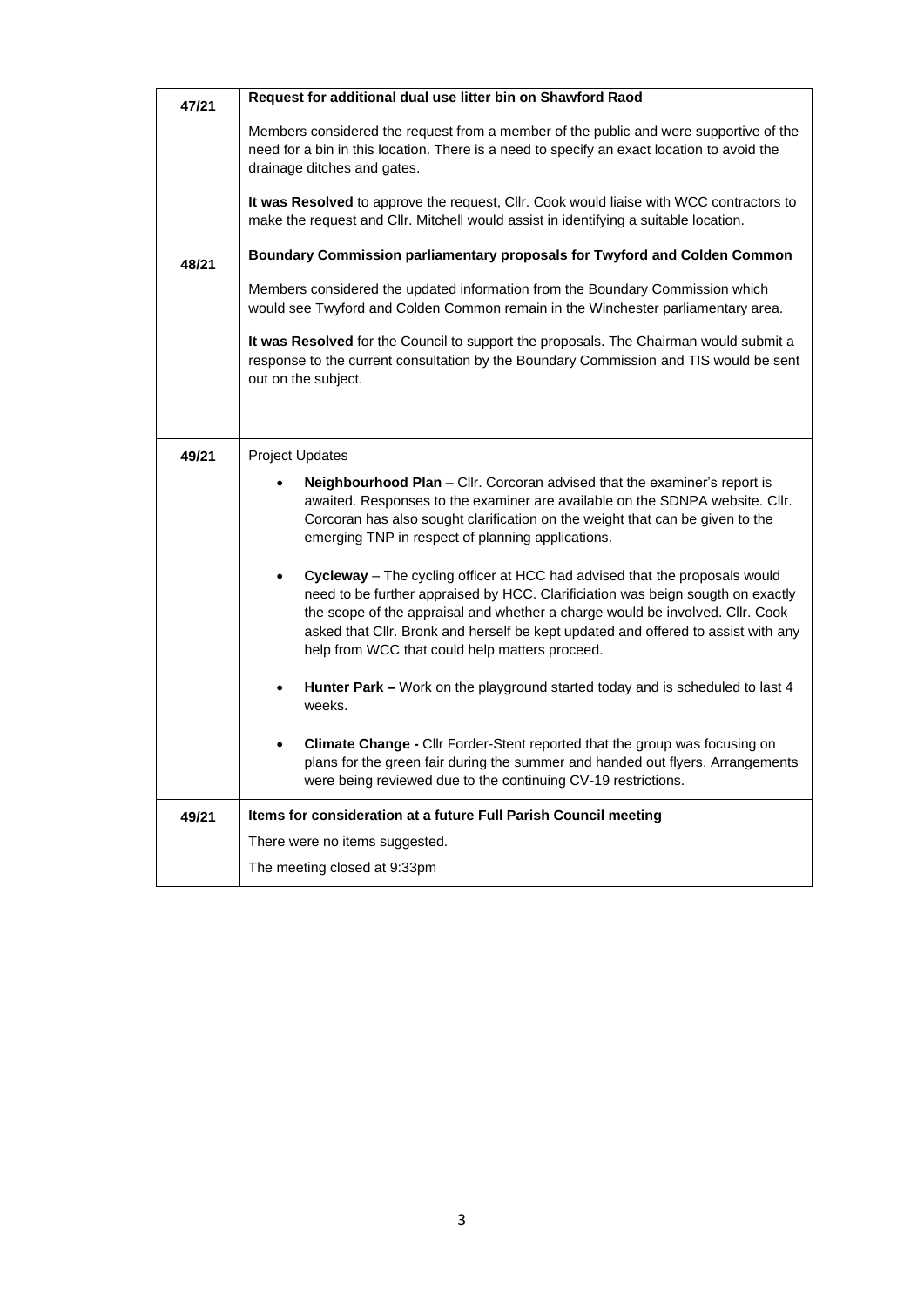| 47/21 | Request for additional dual use litter bin on Shawford Raod                                                                                                                                                                                                                                                                                                                           |  |  |  |  |  |
|-------|---------------------------------------------------------------------------------------------------------------------------------------------------------------------------------------------------------------------------------------------------------------------------------------------------------------------------------------------------------------------------------------|--|--|--|--|--|
|       | Members considered the request from a member of the public and were supportive of the<br>need for a bin in this location. There is a need to specify an exact location to avoid the<br>drainage ditches and gates.                                                                                                                                                                    |  |  |  |  |  |
|       | It was Resolved to approve the request, Cllr. Cook would liaise with WCC contractors to<br>make the request and Cllr. Mitchell would assist in identifying a suitable location.                                                                                                                                                                                                       |  |  |  |  |  |
| 48/21 | Boundary Commission parliamentary proposals for Twyford and Colden Common                                                                                                                                                                                                                                                                                                             |  |  |  |  |  |
|       | Members considered the updated information from the Boundary Commission which<br>would see Twyford and Colden Common remain in the Winchester parliamentary area.                                                                                                                                                                                                                     |  |  |  |  |  |
|       | It was Resolved for the Council to support the proposals. The Chairman would submit a<br>response to the current consultation by the Boundary Commission and TIS would be sent<br>out on the subject.                                                                                                                                                                                 |  |  |  |  |  |
|       |                                                                                                                                                                                                                                                                                                                                                                                       |  |  |  |  |  |
| 49/21 | <b>Project Updates</b>                                                                                                                                                                                                                                                                                                                                                                |  |  |  |  |  |
|       | Neighbourhood Plan - Cllr. Corcoran advised that the examiner's report is<br>awaited. Responses to the examiner are available on the SDNPA website. Cllr.<br>Corcoran has also sought clarification on the weight that can be given to the<br>emerging TNP in respect of planning applications.                                                                                       |  |  |  |  |  |
|       | Cycleway - The cycling officer at HCC had advised that the proposals would<br>need to be further appraised by HCC. Clarificiation was beign sougth on exactly<br>the scope of the appraisal and whether a charge would be involved. Cllr. Cook<br>asked that Cllr. Bronk and herself be kept updated and offered to assist with any<br>help from WCC that could help matters proceed. |  |  |  |  |  |
|       | Hunter Park - Work on the playground started today and is scheduled to last 4<br>weeks.                                                                                                                                                                                                                                                                                               |  |  |  |  |  |
|       | Climate Change - Cllr Forder-Stent reported that the group was focusing on<br>plans for the green fair during the summer and handed out flyers. Arrangements<br>were being reviewed due to the continuing CV-19 restrictions.                                                                                                                                                         |  |  |  |  |  |
| 49/21 | Items for consideration at a future Full Parish Council meeting                                                                                                                                                                                                                                                                                                                       |  |  |  |  |  |
|       | There were no items suggested.                                                                                                                                                                                                                                                                                                                                                        |  |  |  |  |  |
|       | The meeting closed at 9:33pm                                                                                                                                                                                                                                                                                                                                                          |  |  |  |  |  |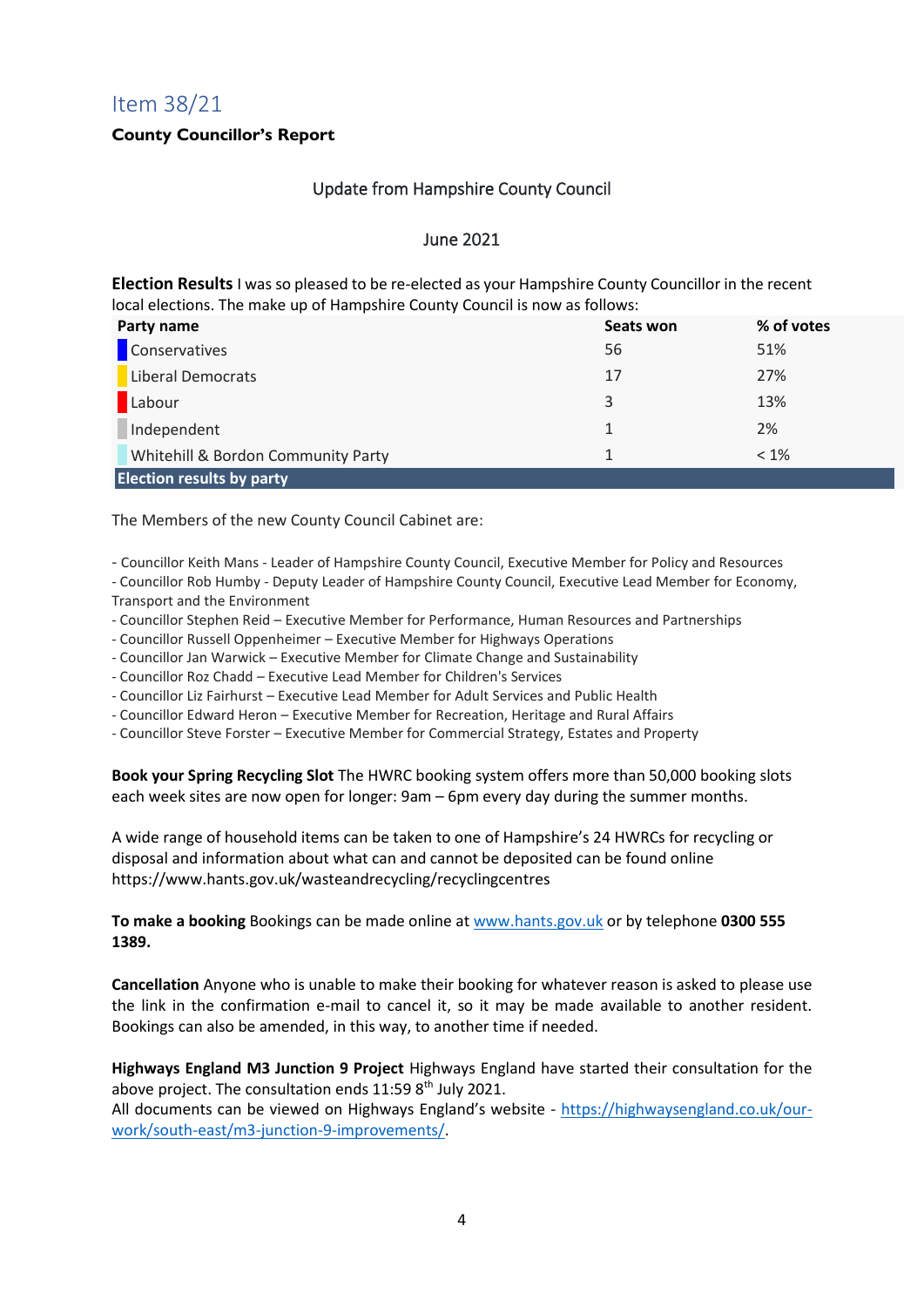### Item 38/21

#### **County Councillor's Report**

#### Update from Hampshire County Council

#### June 2021

**Election Results** I was so pleased to be re-elected as your Hampshire County Councillor in the recent local elections. The make up of Hampshire County Council is now as follows:

| Party name                         | Seats won | % of votes |  |
|------------------------------------|-----------|------------|--|
| Conservatives                      | 56        | 51%        |  |
| Liberal Democrats                  | 17        | 27%        |  |
| Labour                             | 3         | 13%        |  |
| Independent                        | 1.        | 2%         |  |
| Whitehill & Bordon Community Party |           | $< 1\%$    |  |
| <b>Election results by party</b>   |           |            |  |

The Members of the new County Council Cabinet are:

- Councillor Keith Mans - Leader of Hampshire County Council, Executive Member for Policy and Resources

- Councillor Rob Humby Deputy Leader of Hampshire County Council, Executive Lead Member for Economy, Transport and the Environment
- 
- Councillor Stephen Reid Executive Member for Performance, Human Resources and Partnerships
- Councillor Russell Oppenheimer Executive Member for Highways Operations
- Councillor Jan Warwick Executive Member for Climate Change and Sustainability
- Councillor Roz Chadd Executive Lead Member for Children's Services
- Councillor Liz Fairhurst Executive Lead Member for Adult Services and Public Health
- Councillor Edward Heron Executive Member for Recreation, Heritage and Rural Affairs
- Councillor Steve Forster Executive Member for Commercial Strategy, Estates and Property

**Book your Spring Recycling Slot** The HWRC booking system offers more than 50,000 booking slots each week sites are now open for longer: 9am – 6pm every day during the summer months.

A wide range of household items can be taken to one of Hampshire's 24 HWRCs for recycling or disposal and information about what can and cannot be deposited can be found online https://www.hants.gov.uk/wasteandrecycling/recyclingcentres

**To make a booking** Bookings can be made online at [www.hants.gov.uk](http://www.hants.gov.uk/) or by telephone **0300 555 1389.**

**Cancellation** Anyone who is unable to make their booking for whatever reason is asked to please use the link in the confirmation e-mail to cancel it, so it may be made available to another resident. Bookings can also be amended, in this way, to another time if needed.

**Highways England M3 Junction 9 Project** Highways England have started their consultation for the above project. The consultation ends  $11:598<sup>th</sup>$  July 2021.

All documents can be viewed on Highways England's website - [https://highwaysengland.co.uk/our](https://highwaysengland.co.uk/our-work/south-east/m3-junction-9-improvements/)[work/south-east/m3-junction-9-improvements/.](https://highwaysengland.co.uk/our-work/south-east/m3-junction-9-improvements/)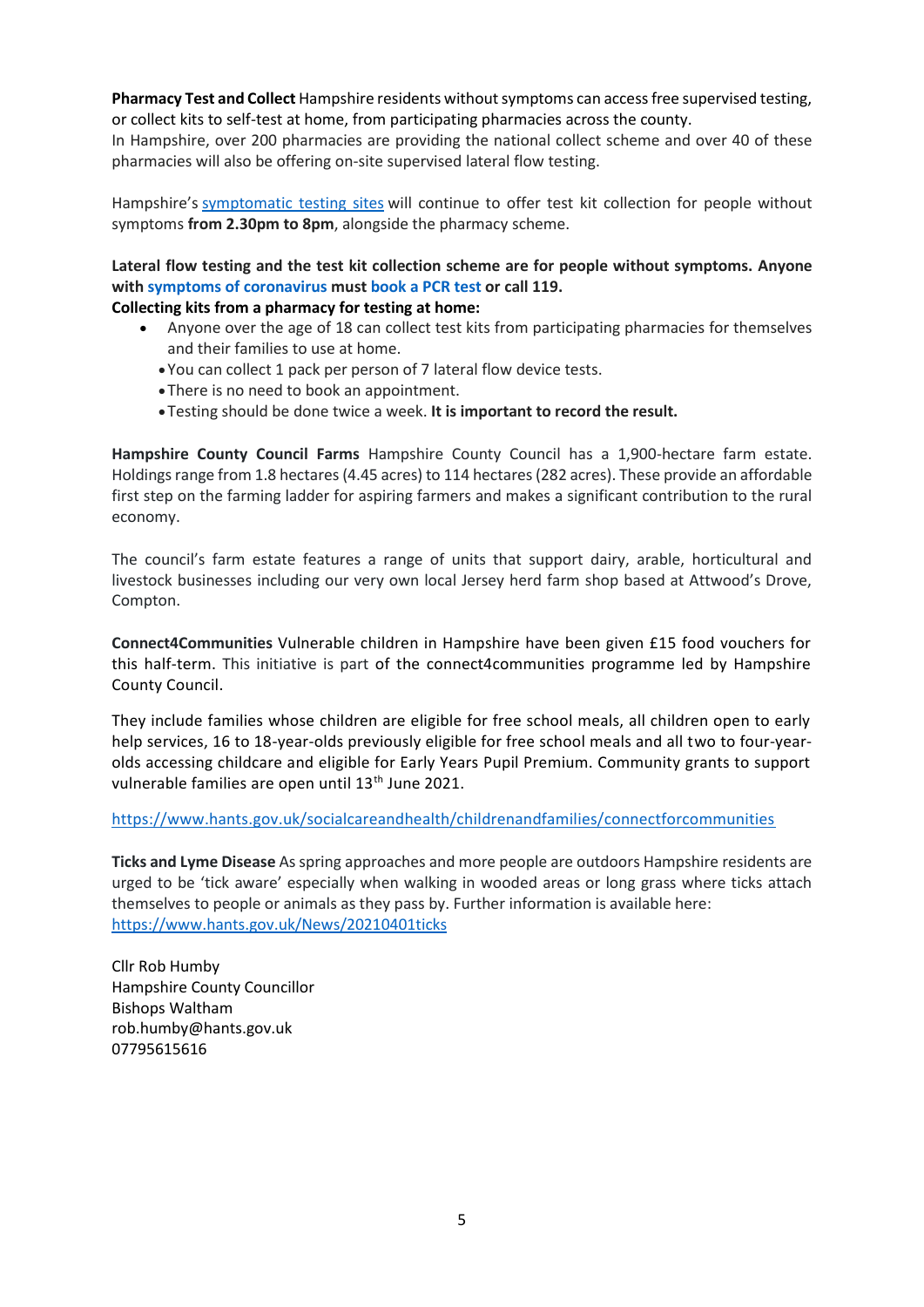**Pharmacy Test and Collect** Hampshire residents without symptoms can access free supervised testing, or collect kits to self-test at home, from participating pharmacies across the county.

In Hampshire, over 200 pharmacies are providing the national collect scheme and over 40 of these pharmacies will also be offering on-site supervised lateral flow testing.

Hampshire's [symptomatic](https://www.hants.gov.uk/socialcareandhealth/coronavirus/test-and-trace/testing-symptoms) testing sites will continue to offer test kit collection for people without symptoms **from 2.30pm to 8pm**, alongside the pharmacy scheme.

#### **Lateral flow testing and the test kit collection scheme are for people without symptoms. Anyone with symptoms of [coronavirus](https://www.nhs.uk/conditions/coronavirus-covid-19/symptoms/#symptoms) must [book](https://www.gov.uk/get-coronavirus-test) a PCR test or call 119.**

#### **Collecting kits from a pharmacy for testing at home:**

- Anyone over the age of 18 can collect test kits from participating pharmacies for themselves and their families to use at home.
	- You can collect 1 pack per person of 7 lateral flow device tests.
	- There is no need to book an appointment.
	- Testing should be done twice a week. **It is important to record the result.**

**Hampshire County Council Farms** Hampshire County Council has a 1,900-hectare farm estate. Holdings range from 1.8 hectares (4.45 acres) to 114 hectares (282 acres). These provide an affordable first step on the farming ladder for aspiring farmers and makes a significant contribution to the rural economy.

The council's farm estate features a range of units that support dairy, arable, horticultural and livestock businesses including our very own local Jersey herd farm shop based at Attwood's Drove, Compton.

**Connect4Communities** Vulnerable children in Hampshire have been given £15 food vouchers for this half-term. This initiative is part of the connect4communities programme led by Hampshire County Council.

They include families whose children are eligible for free school meals, all children open to early help services, 16 to 18-year-olds previously eligible for free school meals and all two to four-yearolds accessing childcare and eligible for Early Years Pupil Premium. Community grants to support vulnerable families are open until 13<sup>th</sup> June 2021.

<https://www.hants.gov.uk/socialcareandhealth/childrenandfamilies/connectforcommunities>

**Ticks and Lyme Disease** As spring approaches and more people are outdoors Hampshire residents are urged to be 'tick aware' especially when walking in wooded areas or long grass where ticks attach themselves to people or animals as they pass by. Further information is available here: <https://www.hants.gov.uk/News/20210401ticks>

Cllr Rob Humby Hampshire County Councillor Bishops Waltham rob.humby@hants.gov.uk 07795615616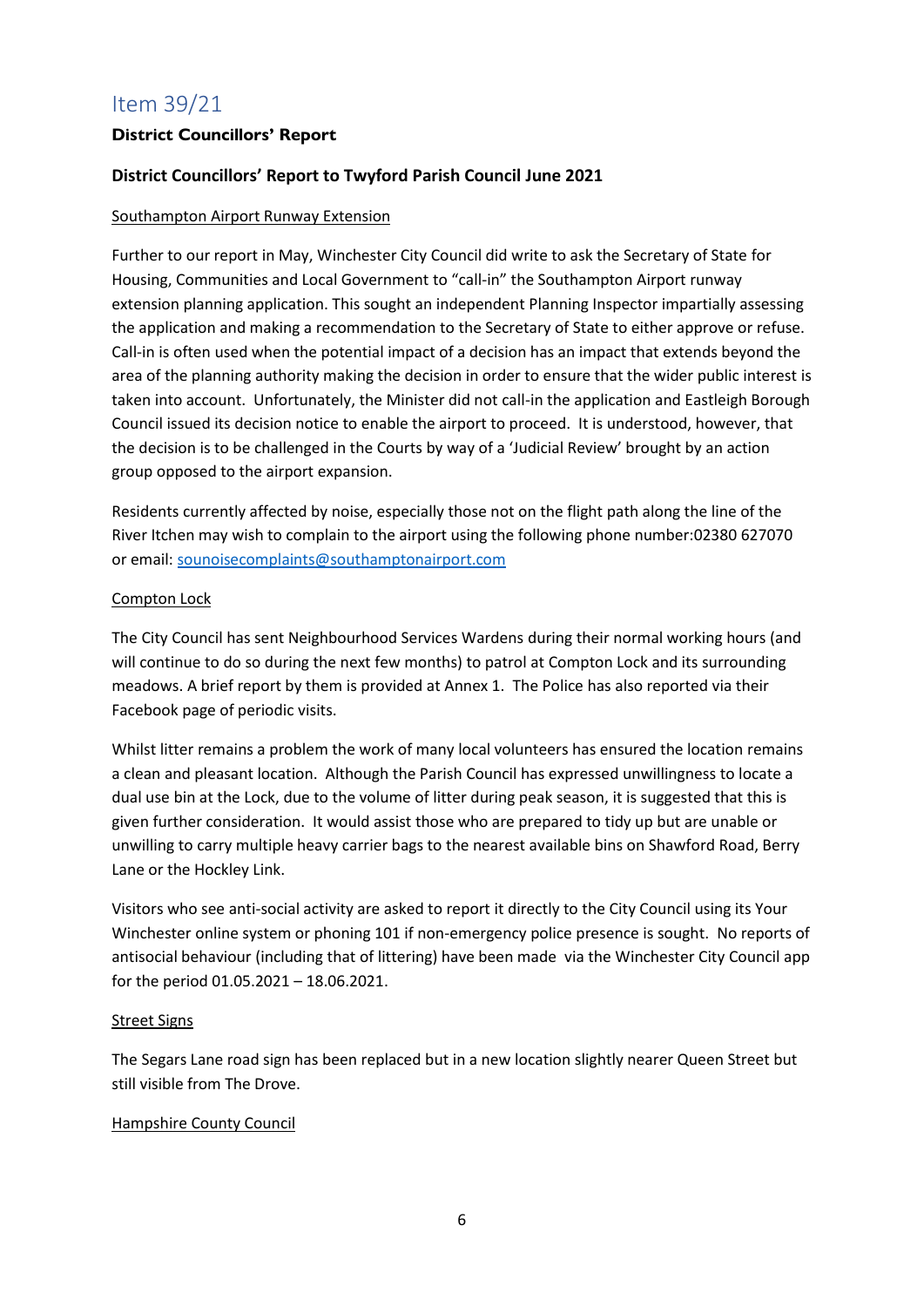## Item 39/21

#### **District Councillors' Report**

#### **District Councillors' Report to Twyford Parish Council June 2021**

#### Southampton Airport Runway Extension

Further to our report in May, Winchester City Council did write to ask the Secretary of State for Housing, Communities and Local Government to "call-in" the Southampton Airport runway extension planning application. This sought an independent Planning Inspector impartially assessing the application and making a recommendation to the Secretary of State to either approve or refuse. Call-in is often used when the potential impact of a decision has an impact that extends beyond the area of the planning authority making the decision in order to ensure that the wider public interest is taken into account. Unfortunately, the Minister did not call-in the application and Eastleigh Borough Council issued its decision notice to enable the airport to proceed. It is understood, however, that the decision is to be challenged in the Courts by way of a 'Judicial Review' brought by an action group opposed to the airport expansion.

Residents currently affected by noise, especially those not on the flight path along the line of the River Itchen may wish to complain to the airport using the following phone number:02380 627070 or email: [sounoisecomplaints@southamptonairport.com](mailto:sounoisecomplaints@southamptonairport.com)

#### Compton Lock

The City Council has sent Neighbourhood Services Wardens during their normal working hours (and will continue to do so during the next few months) to patrol at Compton Lock and its surrounding meadows. A brief report by them is provided at Annex 1. The Police has also reported via their Facebook page of periodic visits.

Whilst litter remains a problem the work of many local volunteers has ensured the location remains a clean and pleasant location. Although the Parish Council has expressed unwillingness to locate a dual use bin at the Lock, due to the volume of litter during peak season, it is suggested that this is given further consideration. It would assist those who are prepared to tidy up but are unable or unwilling to carry multiple heavy carrier bags to the nearest available bins on Shawford Road, Berry Lane or the Hockley Link.

Visitors who see anti-social activity are asked to report it directly to the City Council using its Your Winchester online system or phoning 101 if non-emergency police presence is sought. No reports of antisocial behaviour (including that of littering) have been made via the Winchester City Council app for the period 01.05.2021 – 18.06.2021.

#### Street Signs

The Segars Lane road sign has been replaced but in a new location slightly nearer Queen Street but still visible from The Drove.

#### Hampshire County Council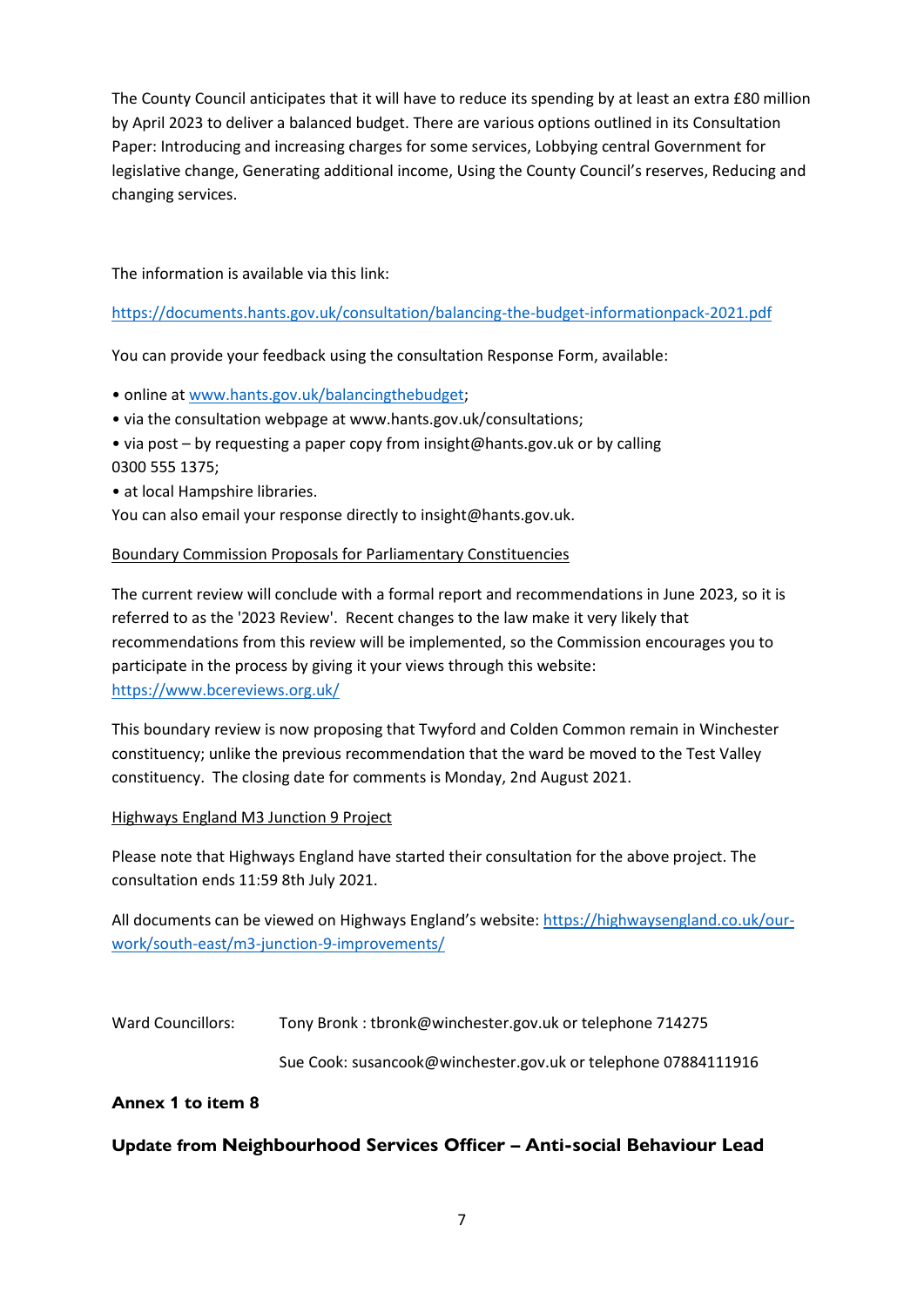The County Council anticipates that it will have to reduce its spending by at least an extra £80 million by April 2023 to deliver a balanced budget. There are various options outlined in its Consultation Paper: Introducing and increasing charges for some services, Lobbying central Government for legislative change, Generating additional income, Using the County Council's reserves, Reducing and changing services.

The information is available via this link:

#### <https://documents.hants.gov.uk/consultation/balancing-the-budget-informationpack-2021.pdf>

You can provide your feedback using the consultation Response Form, available:

• online at [www.hants.gov.uk/balancingthebudget;](http://www.hants.gov.uk/balancingthebudget)

- via the consultation webpage at www.hants.gov.uk/consultations;
- via post by requesting a paper copy from insight@hants.gov.uk or by calling 0300 555 1375;
- at local Hampshire libraries.

You can also email your response directly to insight@hants.gov.uk.

#### Boundary Commission Proposals for Parliamentary Constituencies

The current review will conclude with a formal report and recommendations in June 2023, so it is referred to as the '2023 Review'. Recent changes to the law make it very likely that recommendations from this review will be implemented, so the Commission encourages you to participate in the process by giving it your views through this website: <https://www.bcereviews.org.uk/>

This boundary review is now proposing that Twyford and Colden Common remain in Winchester constituency; unlike the previous recommendation that the ward be moved to the Test Valley constituency. The closing date for comments is Monday, 2nd August 2021.

#### Highways England M3 Junction 9 Project

Please note that Highways England have started their consultation for the above project. The consultation ends 11:59 8th July 2021.

All documents can be viewed on Highways England's website: [https://highwaysengland.co.uk/our](https://highwaysengland.co.uk/our-work/south-east/m3-junction-9-improvements/)[work/south-east/m3-junction-9-improvements/](https://highwaysengland.co.uk/our-work/south-east/m3-junction-9-improvements/)

Ward Councillors: Tony Bronk : tbronk@winchester.gov.uk or telephone 714275

Sue Cook: susancook@winchester.gov.uk or telephone 07884111916

#### **Annex 1 to item 8**

#### **Update from Neighbourhood Services Officer – Anti-social Behaviour Lead**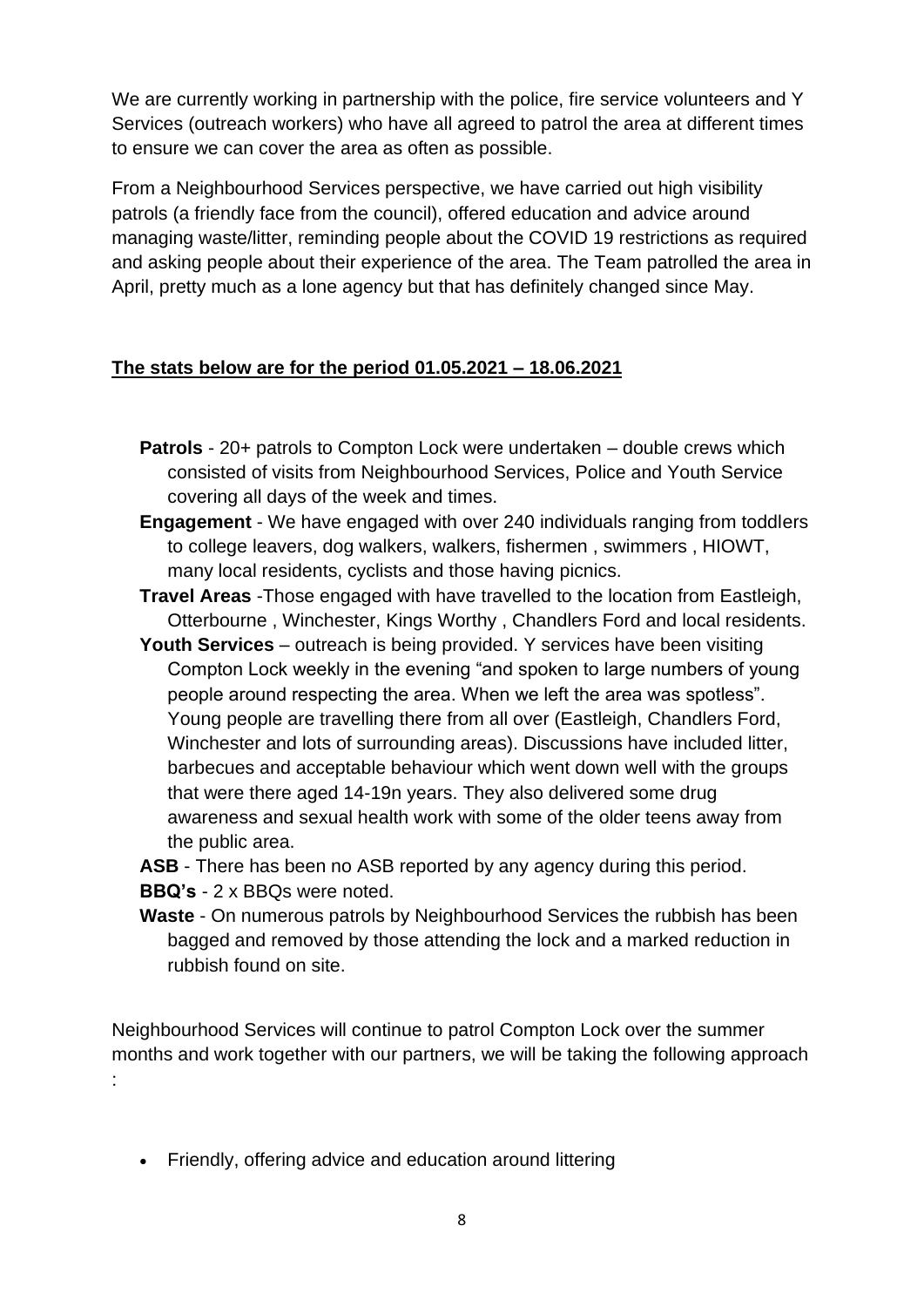We are currently working in partnership with the police, fire service volunteers and Y Services (outreach workers) who have all agreed to patrol the area at different times to ensure we can cover the area as often as possible.

From a Neighbourhood Services perspective, we have carried out high visibility patrols (a friendly face from the council), offered education and advice around managing waste/litter, reminding people about the COVID 19 restrictions as required and asking people about their experience of the area. The Team patrolled the area in April, pretty much as a lone agency but that has definitely changed since May.

#### **The stats below are for the period 01.05.2021 – 18.06.2021**

- **Patrols** 20+ patrols to Compton Lock were undertaken double crews which consisted of visits from Neighbourhood Services, Police and Youth Service covering all days of the week and times.
- **Engagement** We have engaged with over 240 individuals ranging from toddlers to college leavers, dog walkers, walkers, fishermen , swimmers , HIOWT, many local residents, cyclists and those having picnics.
- **Travel Areas** -Those engaged with have travelled to the location from Eastleigh, Otterbourne , Winchester, Kings Worthy , Chandlers Ford and local residents.
- **Youth Services** outreach is being provided. Y services have been visiting Compton Lock weekly in the evening "and spoken to large numbers of young people around respecting the area. When we left the area was spotless". Young people are travelling there from all over (Eastleigh, Chandlers Ford, Winchester and lots of surrounding areas). Discussions have included litter, barbecues and acceptable behaviour which went down well with the groups that were there aged 14-19n years. They also delivered some drug awareness and sexual health work with some of the older teens away from the public area.

**ASB** - There has been no ASB reported by any agency during this period. **BBQ's** - 2 x BBQs were noted.

**Waste** - On numerous patrols by Neighbourhood Services the rubbish has been bagged and removed by those attending the lock and a marked reduction in rubbish found on site.

Neighbourhood Services will continue to patrol Compton Lock over the summer months and work together with our partners, we will be taking the following approach :

• Friendly, offering advice and education around littering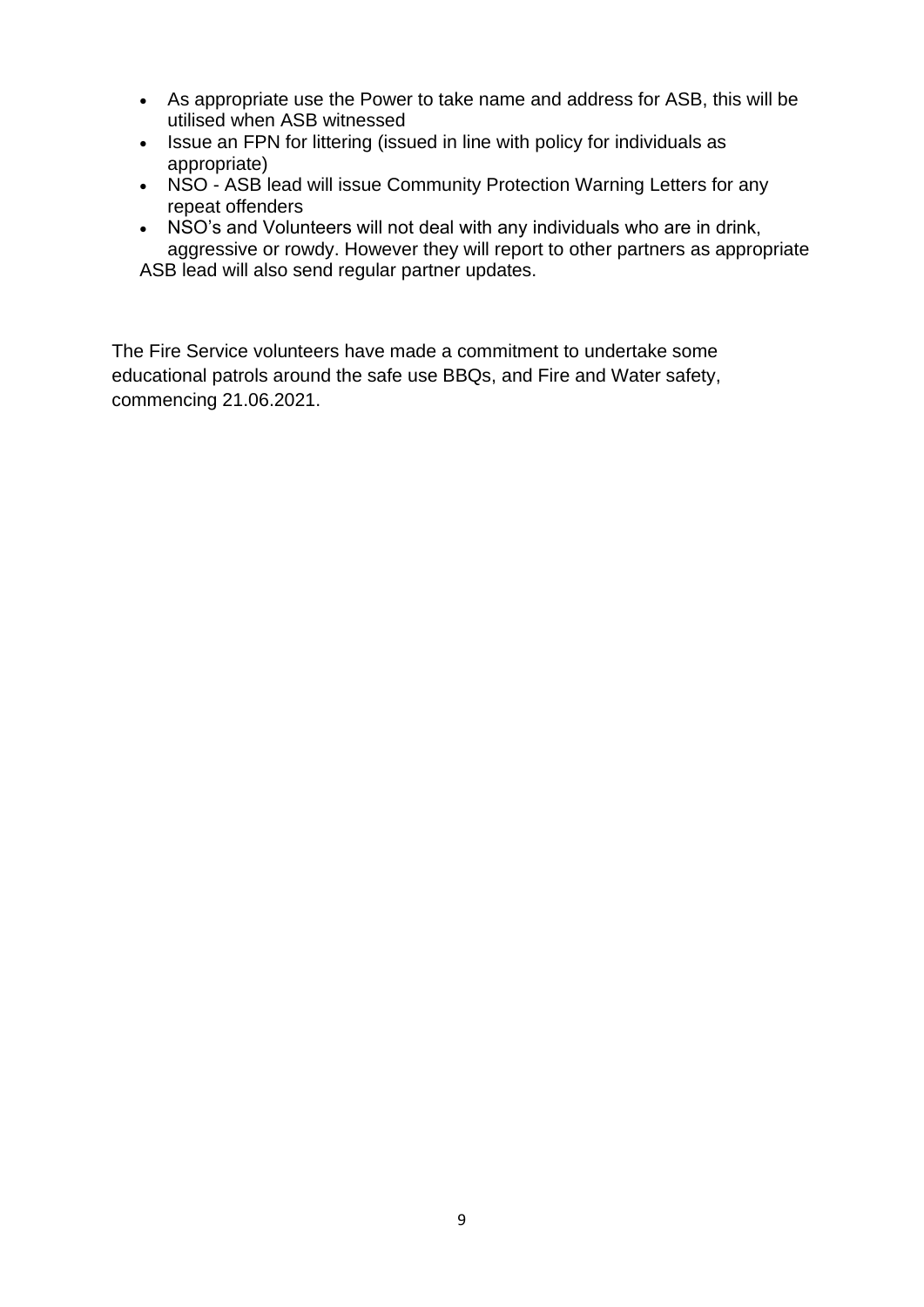- As appropriate use the Power to take name and address for ASB, this will be utilised when ASB witnessed
- Issue an FPN for littering (issued in line with policy for individuals as appropriate)
- NSO ASB lead will issue Community Protection Warning Letters for any repeat offenders
- NSO's and Volunteers will not deal with any individuals who are in drink, aggressive or rowdy. However they will report to other partners as appropriate ASB lead will also send regular partner updates.

The Fire Service volunteers have made a commitment to undertake some educational patrols around the safe use BBQs, and Fire and Water safety, commencing 21.06.2021.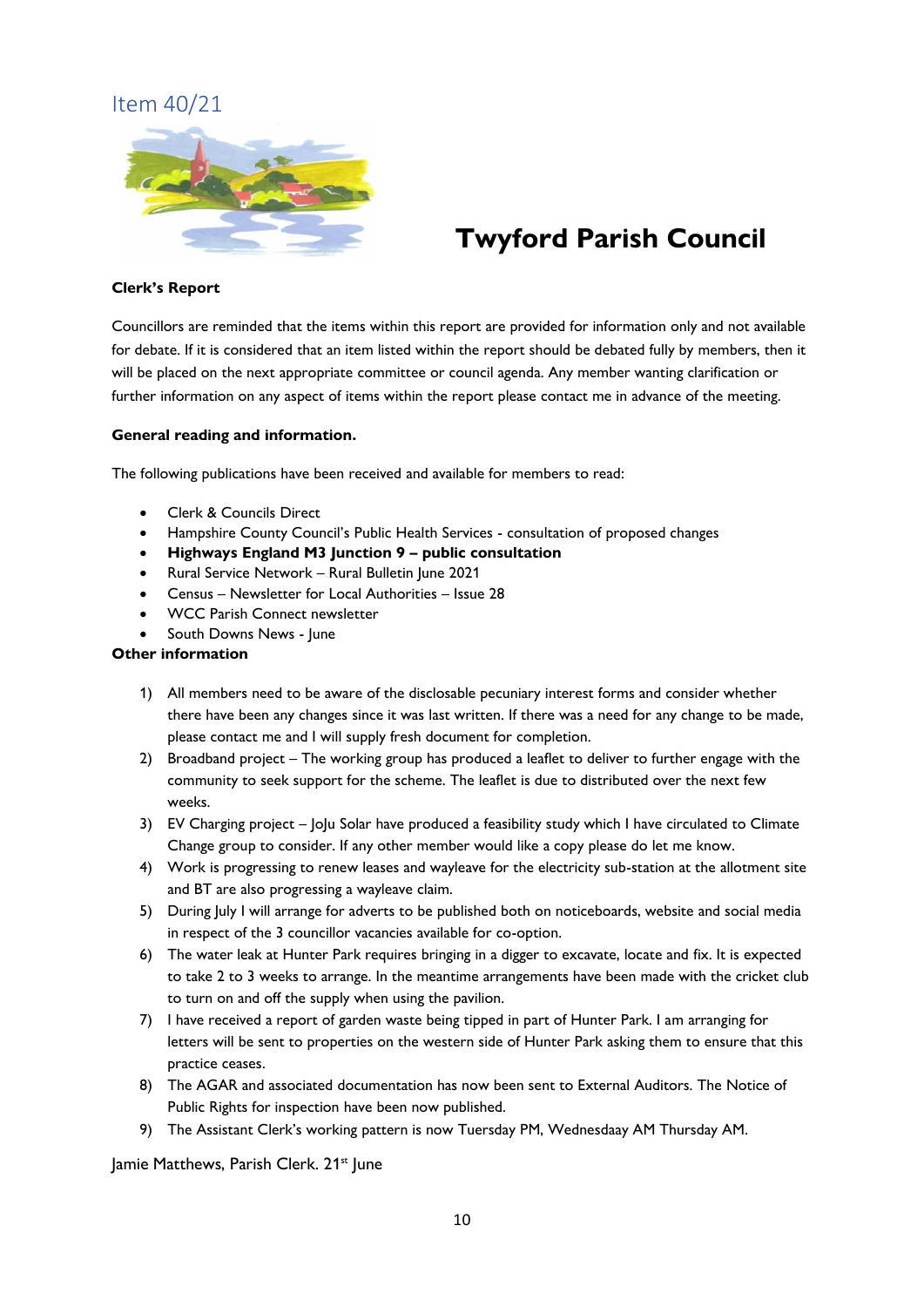## Item 40/21



# **Twyford Parish Council**

#### **Clerk's Report**

Councillors are reminded that the items within this report are provided for information only and not available for debate. If it is considered that an item listed within the report should be debated fully by members, then it will be placed on the next appropriate committee or council agenda. Any member wanting clarification or further information on any aspect of items within the report please contact me in advance of the meeting.

#### **General reading and information.**

The following publications have been received and available for members to read:

- Clerk & Councils Direct
- Hampshire County Council's Public Health Services consultation of proposed changes
- **Highways England M3 Junction 9 – public consultation**
- Rural Service Network Rural Bulletin June 2021
- Census Newsletter for Local Authorities Issue 28
- WCC Parish Connect newsletter
- South Downs News June

#### **Other information**

- 1) All members need to be aware of the disclosable pecuniary interest forms and consider whether there have been any changes since it was last written. If there was a need for any change to be made, please contact me and I will supply fresh document for completion.
- 2) Broadband project The working group has produced a leaflet to deliver to further engage with the community to seek support for the scheme. The leaflet is due to distributed over the next few weeks.
- 3) EV Charging project JoJu Solar have produced a feasibility study which I have circulated to Climate Change group to consider. If any other member would like a copy please do let me know.
- 4) Work is progressing to renew leases and wayleave for the electricity sub-station at the allotment site and BT are also progressing a wayleave claim.
- 5) During July I will arrange for adverts to be published both on noticeboards, website and social media in respect of the 3 councillor vacancies available for co-option.
- 6) The water leak at Hunter Park requires bringing in a digger to excavate, locate and fix. It is expected to take 2 to 3 weeks to arrange. In the meantime arrangements have been made with the cricket club to turn on and off the supply when using the pavilion.
- 7) I have received a report of garden waste being tipped in part of Hunter Park. I am arranging for letters will be sent to properties on the western side of Hunter Park asking them to ensure that this practice ceases.
- 8) The AGAR and associated documentation has now been sent to External Auditors. The Notice of Public Rights for inspection have been now published.
- 9) The Assistant Clerk's working pattern is now Tuersday PM, Wednesdaay AM Thursday AM.

lamie Matthews, Parish Clerk. 21<sup>st</sup> June